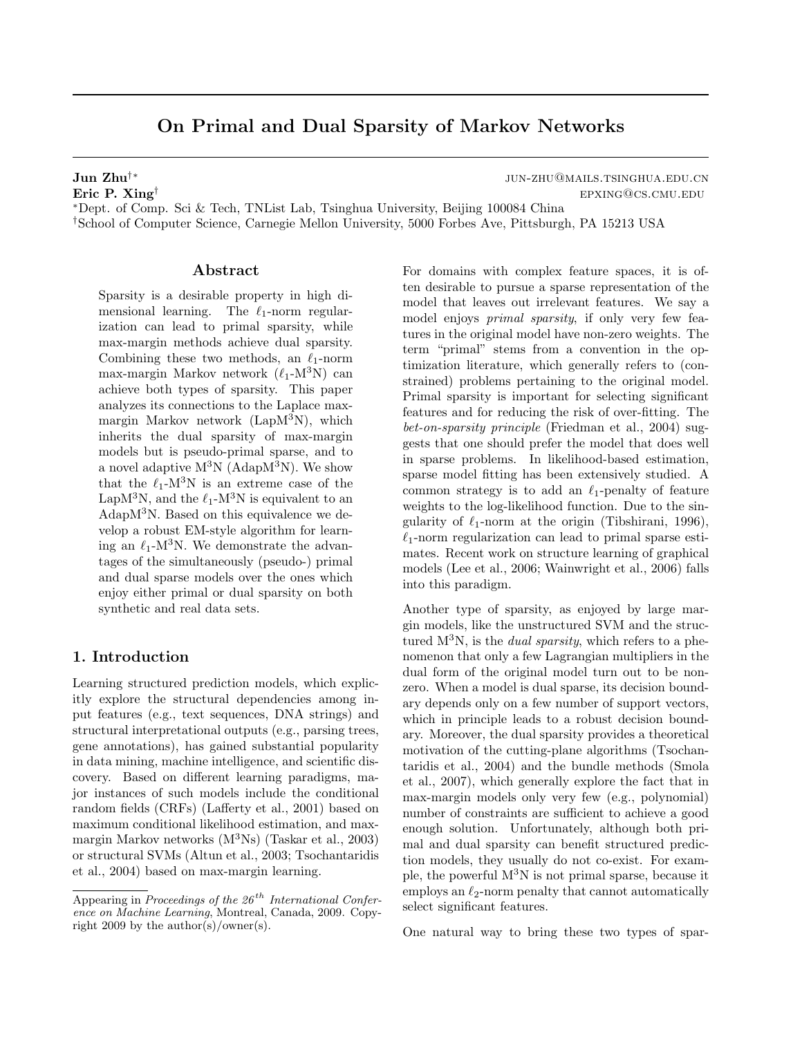# On Primal and Dual Sparsity of Markov Networks

<sup>∗</sup>Dept. of Comp. Sci & Tech, TNList Lab, Tsinghua University, Beijing 100084 China †School of Computer Science, Carnegie Mellon University, 5000 Forbes Ave, Pittsburgh, PA 15213 USA

### Abstract

Sparsity is a desirable property in high dimensional learning. The  $\ell_1$ -norm regularization can lead to primal sparsity, while max-margin methods achieve dual sparsity. Combining these two methods, an  $\ell_1$ -norm max-margin Markov network  $(\ell_1-M^3N)$  can achieve both types of sparsity. This paper analyzes its connections to the Laplace maxmargin Markov network (Lap $M^3N$ ), which inherits the dual sparsity of max-margin models but is pseudo-primal sparse, and to a novel adaptive  $M^3N$  (Adap $M^3N$ ). We show that the  $\ell_1$ -M<sup>3</sup>N is an extreme case of the LapM<sup>3</sup>N, and the  $\ell_1$ -M<sup>3</sup>N is equivalent to an AdapM<sup>3</sup>N. Based on this equivalence we develop a robust EM-style algorithm for learning an  $\ell_1$ -M<sup>3</sup>N. We demonstrate the advantages of the simultaneously (pseudo-) primal and dual sparse models over the ones which enjoy either primal or dual sparsity on both synthetic and real data sets.

### 1. Introduction

Learning structured prediction models, which explicitly explore the structural dependencies among input features (e.g., text sequences, DNA strings) and structural interpretational outputs (e.g., parsing trees, gene annotations), has gained substantial popularity in data mining, machine intelligence, and scientific discovery. Based on different learning paradigms, major instances of such models include the conditional random fields (CRFs) (Lafferty et al., 2001) based on maximum conditional likelihood estimation, and maxmargin Markov networks (M<sup>3</sup>Ns) (Taskar et al., 2003) or structural SVMs (Altun et al., 2003; Tsochantaridis et al., 2004) based on max-margin learning.

For domains with complex feature spaces, it is often desirable to pursue a sparse representation of the model that leaves out irrelevant features. We say a model enjoys primal sparsity, if only very few features in the original model have non-zero weights. The term "primal" stems from a convention in the optimization literature, which generally refers to (constrained) problems pertaining to the original model. Primal sparsity is important for selecting significant features and for reducing the risk of over-fitting. The bet-on-sparsity principle (Friedman et al., 2004) suggests that one should prefer the model that does well in sparse problems. In likelihood-based estimation, sparse model fitting has been extensively studied. A common strategy is to add an  $\ell_1$ -penalty of feature weights to the log-likelihood function. Due to the singularity of  $\ell_1$ -norm at the origin (Tibshirani, 1996),  $\ell_1$ -norm regularization can lead to primal sparse estimates. Recent work on structure learning of graphical models (Lee et al., 2006; Wainwright et al., 2006) falls into this paradigm.

Another type of sparsity, as enjoyed by large margin models, like the unstructured SVM and the structured  $M^3N$ , is the *dual sparsity*, which refers to a phenomenon that only a few Lagrangian multipliers in the dual form of the original model turn out to be nonzero. When a model is dual sparse, its decision boundary depends only on a few number of support vectors, which in principle leads to a robust decision boundary. Moreover, the dual sparsity provides a theoretical motivation of the cutting-plane algorithms (Tsochantaridis et al., 2004) and the bundle methods (Smola et al., 2007), which generally explore the fact that in max-margin models only very few (e.g., polynomial) number of constraints are sufficient to achieve a good enough solution. Unfortunately, although both primal and dual sparsity can benefit structured prediction models, they usually do not co-exist. For example, the powerful  $M^3N$  is not primal sparse, because it employs an  $\ell_2$ -norm penalty that cannot automatically select significant features.

One natural way to bring these two types of spar-

Jun Zhu<sup>†</sup>\* jun-zhu@mails.tsinghua.edu.cn Eric P. Xing<sup>†</sup> epxing@cs.cmu.edu

Appearing in Proceedings of the  $26<sup>th</sup> International Confer$ ence on Machine Learning, Montreal, Canada, 2009. Copyright 2009 by the author(s)/owner(s).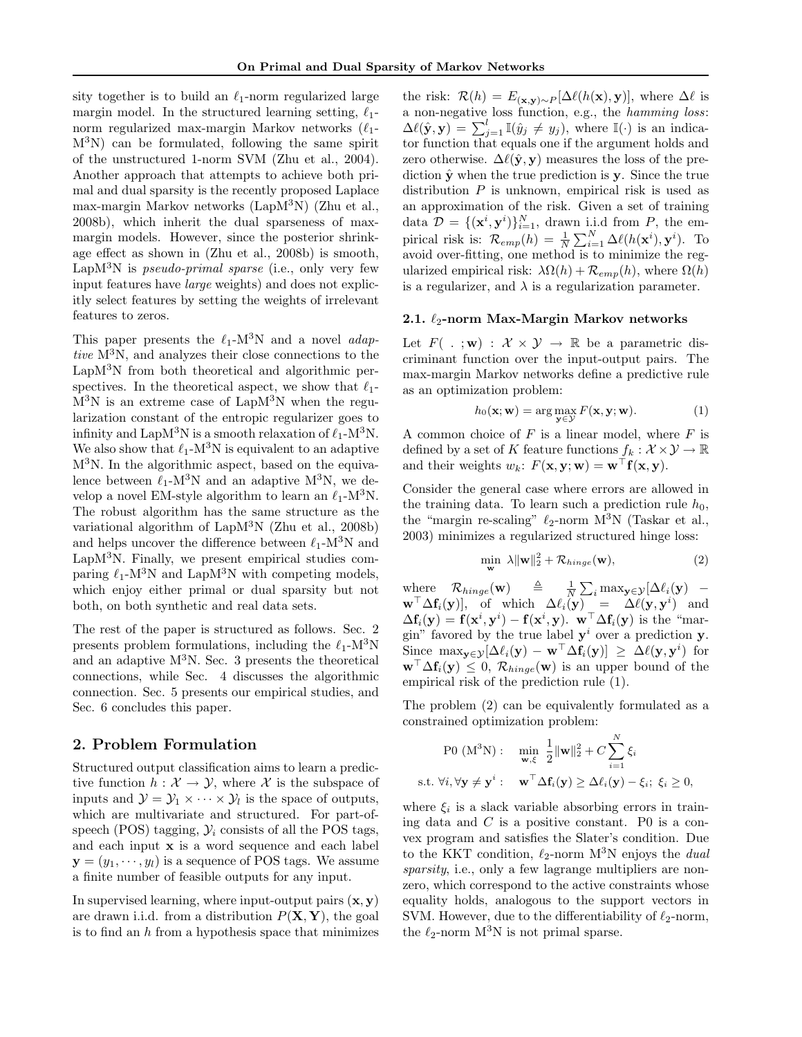sity together is to build an  $\ell_1$ -norm regularized large margin model. In the structured learning setting,  $\ell_1$ norm regularized max-margin Markov networks  $(\ell_1$ - $M^{3}N$ ) can be formulated, following the same spirit of the unstructured 1-norm SVM (Zhu et al., 2004). Another approach that attempts to achieve both primal and dual sparsity is the recently proposed Laplace max-margin Markov networks (LapM<sup>3</sup>N) (Zhu et al., 2008b), which inherit the dual sparseness of maxmargin models. However, since the posterior shrinkage effect as shown in (Zhu et al., 2008b) is smooth, LapM<sup>3</sup>N is *pseudo-primal sparse* (i.e., only very few input features have large weights) and does not explicitly select features by setting the weights of irrelevant features to zeros.

This paper presents the  $\ell_1$ -M<sup>3</sup>N and a novel *adap*tive  $M^{3}N$ , and analyzes their close connections to the LapM<sup>3</sup>N from both theoretical and algorithmic perspectives. In the theoretical aspect, we show that  $\ell_1$ - $M^{3}N$  is an extreme case of Lap $M^{3}N$  when the regularization constant of the entropic regularizer goes to infinity and LapM<sup>3</sup>N is a smooth relaxation of  $\ell_1$ -M<sup>3</sup>N. We also show that  $\ell_1$ -M<sup>3</sup>N is equivalent to an adaptive M<sup>3</sup>N. In the algorithmic aspect, based on the equivalence between  $\ell_1$ -M<sup>3</sup>N and an adaptive M<sup>3</sup>N, we develop a novel EM-style algorithm to learn an  $\ell_1$ -M<sup>3</sup>N. The robust algorithm has the same structure as the variational algorithm of  $\text{LapM}^3$ N (Zhu et al., 2008b) and helps uncover the difference between  $\ell_1$ -M<sup>3</sup>N and LapM<sup>3</sup>N. Finally, we present empirical studies comparing  $\ell_1$ -M<sup>3</sup>N and LapM<sup>3</sup>N with competing models, which enjoy either primal or dual sparsity but not both, on both synthetic and real data sets.

The rest of the paper is structured as follows. Sec. 2 presents problem formulations, including the  $\ell_1$ -M<sup>3</sup>N and an adaptive  $M^3N$ . Sec. 3 presents the theoretical connections, while Sec. 4 discusses the algorithmic connection. Sec. 5 presents our empirical studies, and Sec. 6 concludes this paper.

### 2. Problem Formulation

Structured output classification aims to learn a predictive function  $h : \mathcal{X} \to \mathcal{Y}$ , where X is the subspace of inputs and  $\mathcal{Y} = \mathcal{Y}_1 \times \cdots \times \mathcal{Y}_l$  is the space of outputs, which are multivariate and structured. For part-ofspeech (POS) tagging,  $\mathcal{Y}_i$  consists of all the POS tags, and each input x is a word sequence and each label  $y = (y_1, \dots, y_l)$  is a sequence of POS tags. We assume a finite number of feasible outputs for any input.

In supervised learning, where input-output pairs  $(x, y)$ are drawn i.i.d. from a distribution  $P(X, Y)$ , the goal is to find an  $h$  from a hypothesis space that minimizes

the risk:  $\mathcal{R}(h) = E_{(\mathbf{x}, \mathbf{y}) \sim P}[\Delta \ell(h(\mathbf{x}), \mathbf{y})],$  where  $\Delta \ell$  is a non-negative loss function, e.g., the hamming loss:  $\Delta \ell(\hat{\mathbf{y}}, \mathbf{y}) = \sum_{j=1}^{l} \mathbb{I}(\hat{y}_j \neq y_j)$ , where  $\mathbb{I}(\cdot)$  is an indicator function that equals one if the argument holds and zero otherwise.  $\Delta \ell(\hat{\mathbf{y}}, \mathbf{y})$  measures the loss of the prediction  $\hat{\mathbf{v}}$  when the true prediction is **y**. Since the true distribution  $P$  is unknown, empirical risk is used as an approximation of the risk. Given a set of training data  $\mathcal{D} = \{(\mathbf{x}^i, \mathbf{y}^i)\}_{i=1}^N$ , drawn i.i.d from P, the empirical risk is:  $\mathcal{R}_{emp}(h) = \frac{1}{N} \sum_{i=1}^{N} \Delta \ell(h(\mathbf{x}^i), \mathbf{y}^i)$ . To avoid over-fitting, one method is to minimize the regularized empirical risk:  $\lambda \Omega(h) + \mathcal{R}_{emp}(h)$ , where  $\Omega(h)$ is a regularizer, and  $\lambda$  is a regularization parameter.

#### 2.1.  $\ell_2$ -norm Max-Margin Markov networks

Let  $F(\cdot; \mathbf{w}) : \mathcal{X} \times \mathcal{Y} \to \mathbb{R}$  be a parametric discriminant function over the input-output pairs. The max-margin Markov networks define a predictive rule as an optimization problem:

$$
h_0(\mathbf{x}; \mathbf{w}) = \arg \max_{\mathbf{y} \in \mathcal{Y}} F(\mathbf{x}, \mathbf{y}; \mathbf{w}). \tag{1}
$$

A common choice of  $F$  is a linear model, where  $F$  is defined by a set of K feature functions  $f_k : \mathcal{X} \times \mathcal{Y} \to \mathbb{R}$ and their weights  $w_k$ :  $F(\mathbf{x}, \mathbf{y}; \mathbf{w}) = \mathbf{w}^\top \mathbf{f}(\mathbf{x}, \mathbf{y}).$ 

Consider the general case where errors are allowed in the training data. To learn such a prediction rule  $h_0$ , the "margin re-scaling"  $\ell_2$ -norm M<sup>3</sup>N (Taskar et al., 2003) minimizes a regularized structured hinge loss:

$$
\min_{\mathbf{w}} \ \lambda \|\mathbf{w}\|_{2}^{2} + \mathcal{R}_{hinge}(\mathbf{w}), \tag{2}
$$

where  $\mathcal{R}_{hinge}(\mathbf{w}) = \frac{\Delta}{N} \sum_i \max_{\mathbf{y} \in \mathcal{Y}} [\Delta \ell_i(\mathbf{y}) \mathbf{w}^\top \Delta \mathbf{f}_i(\mathbf{y})$ , of which  $\Delta \ell_i(\mathbf{y}) = \Delta \ell(\mathbf{y}, \mathbf{y}^i)$  and  $\Delta \mathbf{f}_i(\mathbf{y}) = \mathbf{f}(\mathbf{x}^i, \mathbf{y}^i) - \mathbf{f}(\mathbf{x}^i, \mathbf{y})$ .  $\mathbf{w}^\top \Delta \mathbf{f}_i(\mathbf{y})$  is the "margin" favored by the true label  $y^i$  over a prediction y. Since  $\max_{\mathbf{y}\in\mathcal{Y}}[\Delta\ell_i(\mathbf{y}) - \mathbf{w}^\top\Delta\mathbf{f}_i(\mathbf{y})] \geq \Delta\ell(\mathbf{y}, \mathbf{y}^i)$  for  $\mathbf{w}^{\top} \Delta \mathbf{f}_i(\mathbf{y}) \leq 0$ ,  $\mathcal{R}_{hinge}(\mathbf{w})$  is an upper bound of the empirical risk of the prediction rule (1).

The problem (2) can be equivalently formulated as a constrained optimization problem:

$$
\text{P0 (M}^3\text{N}): \quad \min_{\mathbf{w}, \xi} \frac{1}{2} \|\mathbf{w}\|_2^2 + C \sum_{i=1}^N \xi_i
$$
\n
$$
\text{s.t. } \forall i, \forall \mathbf{y} \neq \mathbf{y}^i : \quad \mathbf{w}^\top \Delta \mathbf{f}_i(\mathbf{y}) \ge \Delta \ell_i(\mathbf{y}) - \xi_i; \ \xi_i \ge 0,
$$

where  $\xi_i$  is a slack variable absorbing errors in training data and  $C$  is a positive constant. P0 is a convex program and satisfies the Slater's condition. Due to the KKT condition,  $\ell_2$ -norm M<sup>3</sup>N enjoys the *dual* sparsity, i.e., only a few lagrange multipliers are nonzero, which correspond to the active constraints whose equality holds, analogous to the support vectors in SVM. However, due to the differentiability of  $\ell_2$ -norm, the  $\ell_2$ -norm M<sup>3</sup>N is not primal sparse.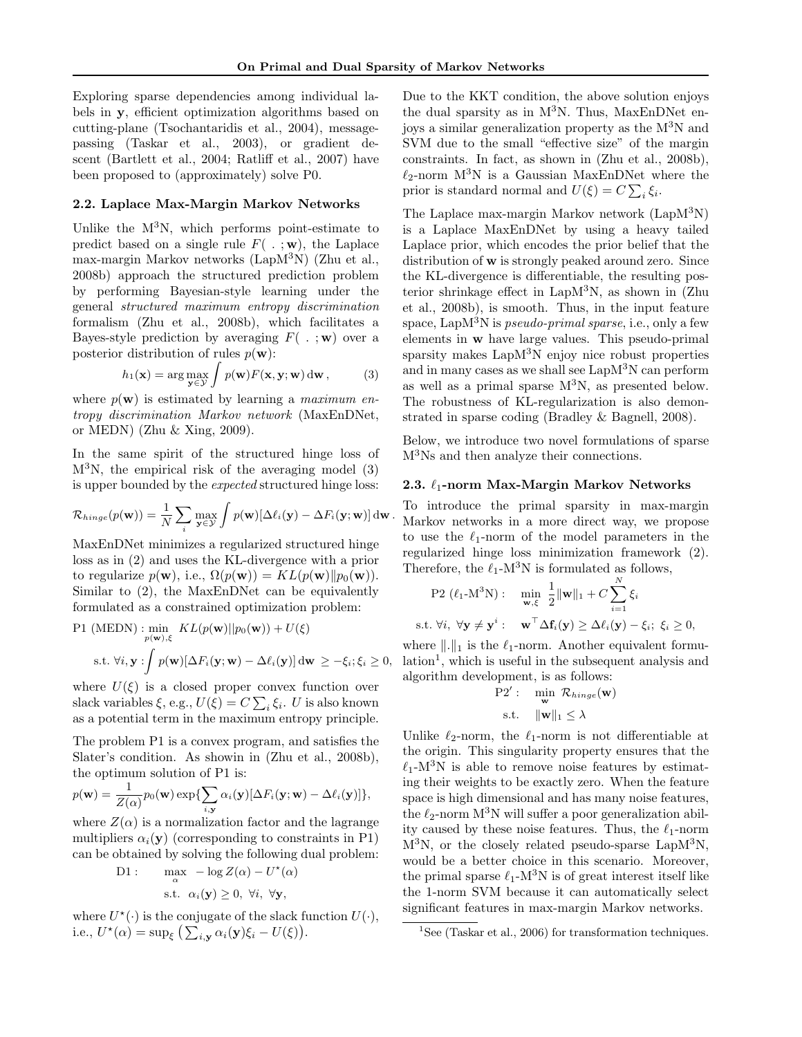Exploring sparse dependencies among individual labels in y, efficient optimization algorithms based on cutting-plane (Tsochantaridis et al., 2004), messagepassing (Taskar et al., 2003), or gradient descent (Bartlett et al., 2004; Ratliff et al., 2007) have been proposed to (approximately) solve P0.

#### 2.2. Laplace Max-Margin Markov Networks

Unlike the  $M^3N$ , which performs point-estimate to predict based on a single rule  $F( . ; \mathbf{w})$ , the Laplace max-margin Markov networks (LapM<sup>3</sup>N) (Zhu et al., 2008b) approach the structured prediction problem by performing Bayesian-style learning under the general structured maximum entropy discrimination formalism (Zhu et al., 2008b), which facilitates a Bayes-style prediction by averaging  $F(\cdot; \mathbf{w})$  over a posterior distribution of rules  $p(\mathbf{w})$ :

$$
h_1(\mathbf{x}) = \arg\max_{\mathbf{y} \in \mathcal{Y}} \int p(\mathbf{w}) F(\mathbf{x}, \mathbf{y}; \mathbf{w}) \, \mathrm{d}\mathbf{w}, \tag{3}
$$

where  $p(\mathbf{w})$  is estimated by learning a *maximum en*tropy discrimination Markov network (MaxEnDNet, or MEDN) (Zhu & Xing, 2009).

In the same spirit of the structured hinge loss of  $M^{3}N$ , the empirical risk of the averaging model (3) is upper bounded by the expected structured hinge loss:

$$
\mathcal{R}_{hinge}(p(\mathbf{w})) = \frac{1}{N} \sum_{i} \max_{\mathbf{y} \in \mathcal{Y}} \int p(\mathbf{w}) [\Delta \ell_i(\mathbf{y}) - \Delta F_i(\mathbf{y}; \mathbf{w})] d\mathbf{w}.
$$

MaxEnDNet minimizes a regularized structured hinge loss as in (2) and uses the KL-divergence with a prior to regularize  $p(\mathbf{w})$ , i.e.,  $\Omega(p(\mathbf{w})) = KL(p(\mathbf{w})||p_0(\mathbf{w})).$ Similar to (2), the MaxEnDNet can be equivalently formulated as a constrained optimization problem:

P1 (MEDN) : min<sub>p</sub> 
$$
KL(p(\mathbf{w})||p_0(\mathbf{w})) + U(\xi)
$$
  
s.t.  $\forall i, \mathbf{y} : \int p(\mathbf{w})[\Delta F_i(\mathbf{y}; \mathbf{w}) - \Delta \ell_i(\mathbf{y})] d\mathbf{w} \geq -\xi_i; \xi_i \geq 0,$ 

where  $U(\xi)$  is a closed proper convex function over slack variables  $\xi$ , e.g.,  $U(\xi) = C \sum_i \xi_i$ . U is also known as a potential term in the maximum entropy principle.

The problem P1 is a convex program, and satisfies the Slater's condition. As showin in (Zhu et al., 2008b), the optimum solution of P1 is:

$$
p(\mathbf{w}) = \frac{1}{Z(\alpha)} p_0(\mathbf{w}) \exp{\sum_{i,\mathbf{y}} \alpha_i(\mathbf{y}) [\Delta F_i(\mathbf{y}; \mathbf{w}) - \Delta \ell_i(\mathbf{y})]},
$$

where  $Z(\alpha)$  is a normalization factor and the lagrange multipliers  $\alpha_i(y)$  (corresponding to constraints in P1) can be obtained by solving the following dual problem:

D1: 
$$
\max_{\alpha} -\log Z(\alpha) - U^*(\alpha)
$$
  
s.t.  $\alpha_i(\mathbf{y}) \ge 0$ ,  $\forall i$ ,  $\forall \mathbf{y}$ ,

where  $U^*(\cdot)$  is the conjugate of the slack function  $U(\cdot)$ , i.e.,  $U^*(\alpha) = \sup_{\xi} \left( \sum_{i,\mathbf{y}} \alpha_i(\mathbf{y}) \xi_i - U(\xi) \right).$ 

Due to the KKT condition, the above solution enjoys the dual sparsity as in  $M^3N$ . Thus, MaxEnDNet enjoys a similar generalization property as the M<sup>3</sup>N and SVM due to the small "effective size" of the margin constraints. In fact, as shown in (Zhu et al., 2008b),  $\ell_2$ -norm M<sup>3</sup>N is a Gaussian MaxEnDNet where the prior is standard normal and  $U(\xi) = C \sum_i \xi_i$ .

The Laplace max-margin Markov network (LapM<sup>3</sup>N) is a Laplace MaxEnDNet by using a heavy tailed Laplace prior, which encodes the prior belief that the distribution of w is strongly peaked around zero. Since the KL-divergence is differentiable, the resulting posterior shrinkage effect in LapM<sup>3</sup>N, as shown in (Zhu et al., 2008b), is smooth. Thus, in the input feature space, Lap $M<sup>3</sup>N$  is *pseudo-primal sparse*, i.e., only a few elements in w have large values. This pseudo-primal sparsity makes LapM<sup>3</sup>N enjoy nice robust properties and in many cases as we shall see LapM<sup>3</sup>N can perform as well as a primal sparse  $M^3N$ , as presented below. The robustness of KL-regularization is also demonstrated in sparse coding (Bradley & Bagnell, 2008).

Below, we introduce two novel formulations of sparse M<sup>3</sup>Ns and then analyze their connections.

### 2.3.  $\ell_1$ -norm Max-Margin Markov Networks

To introduce the primal sparsity in max-margin Markov networks in a more direct way, we propose to use the  $\ell_1$ -norm of the model parameters in the regularized hinge loss minimization framework (2). Therefore, the  $\ell_1$ -M<sup>3</sup>N is formulated as follows,

$$
\begin{aligned} \text{P2 } (\ell_1 \text{-} \text{M}^3 \text{N}) : \quad & \min_{\mathbf{w}, \xi} \ \frac{1}{2} \|\mathbf{w}\|_1 + C \sum_{i=1}^N \xi_i \\ \text{s.t. } & \forall i, \ \forall \mathbf{y} \neq \mathbf{y}^i : \quad \mathbf{w}^\top \Delta \mathbf{f}_i(\mathbf{y}) \geq \Delta \ell_i(\mathbf{y}) - \xi_i; \ \xi_i \geq 0, \end{aligned}
$$

where  $\|.\|_1$  is the  $\ell_1$ -norm. Another equivalent formu- $\alpha$ lation<sup>1</sup>, which is useful in the subsequent analysis and algorithm development, is as follows:

P2': 
$$
\min_{\mathbf{w}} \mathcal{R}_{hinge}(\mathbf{w})
$$
  
s.t. 
$$
\|\mathbf{w}\|_1 \leq \lambda
$$

Unlike  $\ell_2$ -norm, the  $\ell_1$ -norm is not differentiable at the origin. This singularity property ensures that the  $\ell_1$ -M<sup>3</sup>N is able to remove noise features by estimating their weights to be exactly zero. When the feature space is high dimensional and has many noise features, the  $\ell_2$ -norm M<sup>3</sup>N will suffer a poor generalization ability caused by these noise features. Thus, the  $\ell_1$ -norm  $M^{3}N$ , or the closely related pseudo-sparse Lap $M^{3}N$ , would be a better choice in this scenario. Moreover, the primal sparse  $\ell_1$ -M<sup>3</sup>N is of great interest itself like the 1-norm SVM because it can automatically select significant features in max-margin Markov networks.

<sup>&</sup>lt;sup>1</sup>See (Taskar et al., 2006) for transformation techniques.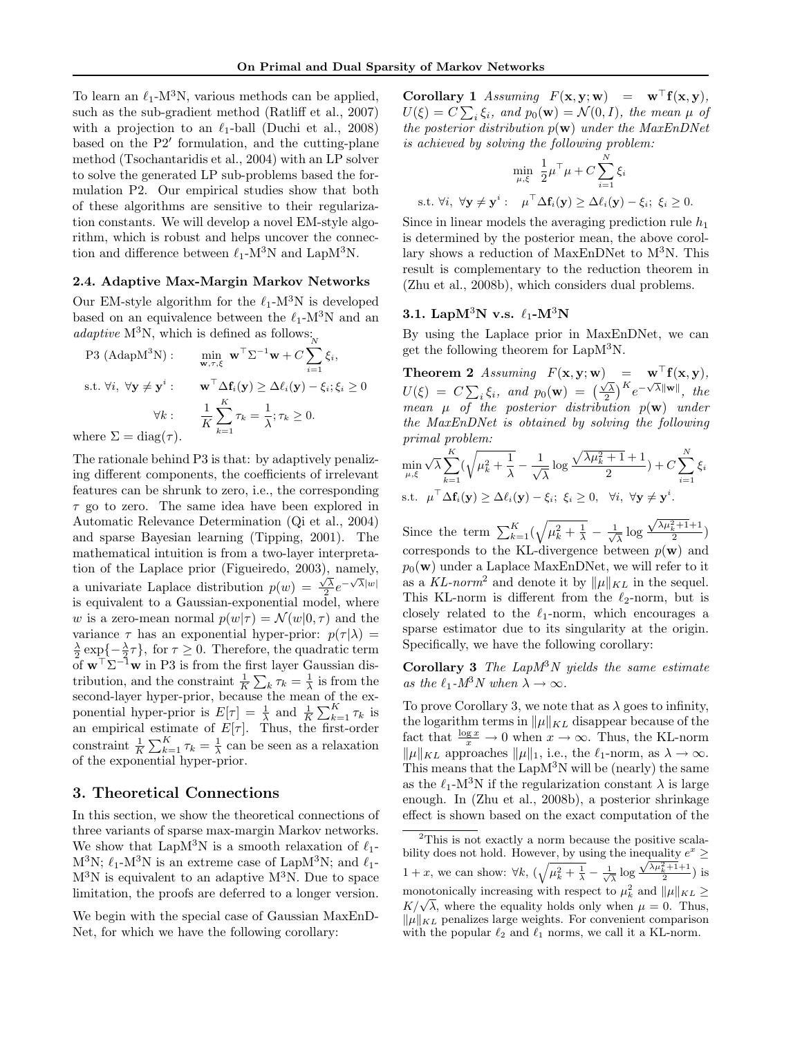To learn an  $\ell_1$ -M<sup>3</sup>N, various methods can be applied, such as the sub-gradient method (Ratliff et al., 2007) with a projection to an  $\ell_1$ -ball (Duchi et al., 2008) based on the  $P2'$  formulation, and the cutting-plane method (Tsochantaridis et al., 2004) with an LP solver to solve the generated LP sub-problems based the formulation P2. Our empirical studies show that both of these algorithms are sensitive to their regularization constants. We will develop a novel EM-style algorithm, which is robust and helps uncover the connection and difference between  $\ell_1$ -M<sup>3</sup>N and LapM<sup>3</sup>N.

#### 2.4. Adaptive Max-Margin Markov Networks

Our EM-style algorithm for the  $\ell_1$ -M<sup>3</sup>N is developed based on an equivalence between the  $\ell_1$ -M<sup>3</sup>N and an  $adaptive M<sup>3</sup>N, which is defined as follows:$ 

P3 (AdapM<sup>3</sup>N): 
$$
\min_{\mathbf{w}, \tau, \xi} \mathbf{w}^{\top} \Sigma^{-1} \mathbf{w} + C \sum_{i=1}^{N} \xi_i,
$$
  
s.t.  $\forall i, \forall \mathbf{y} \neq \mathbf{y}^i$ : 
$$
\mathbf{w}^{\top} \Delta \mathbf{f}_i(\mathbf{y}) \geq \Delta \ell_i(\mathbf{y}) - \xi_i; \xi_i \geq 0
$$

$$
\forall k : \frac{1}{K} \sum_{k=1}^{K} \tau_k = \frac{1}{\lambda}; \tau_k \geq 0.
$$
  
where  $\Sigma = \text{diag}(\tau)$ .

The rationale behind P3 is that: by adaptively penalizing different components, the coefficients of irrelevant features can be shrunk to zero, i.e., the corresponding  $\tau$  go to zero. The same idea have been explored in Automatic Relevance Determination (Qi et al., 2004) and sparse Bayesian learning (Tipping, 2001). The mathematical intuition is from a two-layer interpretation of the Laplace prior (Figueiredo, 2003), namely, a univariate Laplace distribution  $p(w) = \frac{\sqrt{\lambda}}{2}e^{-\sqrt{\lambda}|w|}$ is equivalent to a Gaussian-exponential model, where w is a zero-mean normal  $p(w|\tau) = \mathcal{N}(w|0, \tau)$  and the variance  $\tau$  has an exponential hyper-prior:  $p(\tau | \lambda)$  =  $\frac{\lambda}{2} \exp\{-\frac{\lambda}{2}\tau\}$ , for  $\tau \geq 0$ . Therefore, the quadratic term of  $\mathbf{w}^{\top} \Sigma^{-1} \mathbf{w}$  in P3 is from the first layer Gaussian distribution, and the constraint  $\frac{1}{K} \sum_{k} \tau_k = \frac{1}{\lambda}$  is from the second-layer hyper-prior, because the mean of the exponential hyper-prior is  $E[\tau] = \frac{1}{\lambda}$  and  $\frac{1}{K} \sum_{k=1}^{K} \tau_k$  is an empirical estimate of  $E[\tau]$ . Thus, the first-order constraint  $\frac{1}{K} \sum_{k=1}^{K} \tau_k = \frac{1}{\lambda}$  can be seen as a relaxation of the exponential hyper-prior.

#### 3. Theoretical Connections

In this section, we show the theoretical connections of three variants of sparse max-margin Markov networks. We show that LapM<sup>3</sup>N is a smooth relaxation of  $\ell_1$ - $M^3N$ ;  $\ell_1$ -M<sup>3</sup>N is an extreme case of LapM<sup>3</sup>N; and  $\ell_1$ - $M^{3}N$  is equivalent to an adaptive  $M^{3}N$ . Due to space limitation, the proofs are deferred to a longer version.

We begin with the special case of Gaussian MaxEnD-Net, for which we have the following corollary:

Corollary 1 Assuming  $F(\mathbf{x}, \mathbf{y}; \mathbf{w}) = \mathbf{w}^{\top} \mathbf{f}(\mathbf{x}, \mathbf{y}),$  $U(\xi) = C \sum_i \xi_i$ , and  $p_0(\mathbf{w}) = \mathcal{N}(0, I)$ , the mean  $\mu$  of the posterior distribution  $p(\mathbf{w})$  under the MaxEnDNet is achieved by solving the following problem:

$$
\min_{\mu,\xi} \frac{1}{2} \mu^{\top} \mu + C \sum_{i=1}^{N} \xi_i
$$
  
s.t.  $\forall i, \forall \mathbf{y} \neq \mathbf{y}^i : \mu^{\top} \Delta \mathbf{f}_i(\mathbf{y}) \ge \Delta \ell_i(\mathbf{y}) - \xi_i; \ \xi_i \ge 0.$ 

Since in linear models the averaging prediction rule  $h_1$ is determined by the posterior mean, the above corollary shows a reduction of MaxEnDNet to  $M<sup>3</sup>N$ . This result is complementary to the reduction theorem in (Zhu et al., 2008b), which considers dual problems.

### 3.1. Lap $M^3N$  v.s.  $\ell_1$ - $M^3N$

By using the Laplace prior in MaxEnDNet, we can get the following theorem for LapM<sup>3</sup>N.

**Theorem 2** Assuming  $F(\mathbf{x}, \mathbf{y}; \mathbf{w}) = \mathbf{w}^{\top} \mathbf{f}(\mathbf{x}, \mathbf{y}),$  $U(\xi) = C \sum_i \xi_i$ , and  $p_0(\mathbf{w}) = (\frac{\sqrt{\lambda}}{2})^K e^{-\sqrt{\lambda} ||\mathbf{w}||}$ , the mean  $\mu$  of the posterior distribution  $p(\mathbf{w})$  under the MaxEnDNet is obtained by solving the following primal problem:

$$
\min_{\mu,\xi} \sqrt{\lambda} \sum_{k=1}^{K} (\sqrt{\mu_k^2 + \frac{1}{\lambda}} - \frac{1}{\sqrt{\lambda}} \log \frac{\sqrt{\lambda \mu_k^2 + 1} + 1}{2}) + C \sum_{i=1}^{N} \xi_i
$$
  
s.t.  $\mu^{\top} \Delta \mathbf{f}_i(\mathbf{y}) \ge \Delta \ell_i(\mathbf{y}) - \xi_i; \ \xi_i \ge 0, \ \forall i, \ \forall \mathbf{y} \neq \mathbf{y}^i.$ 

Since the term  $\sum_{k=1}^{K} (\sqrt{\mu_k^2 + \frac{1}{\lambda}} - \frac{1}{\sqrt{k}})$  $\frac{1}{\lambda} \log$  $\frac{\sqrt{\lambda\mu_k^2+1}+1}{2}$ corresponds to the KL-divergence between  $p(\mathbf{w})$  and  $p_0(\mathbf{w})$  under a Laplace MaxEnDNet, we will refer to it as a KL-norm<sup>2</sup> and denote it by  $\|\mu\|_{KL}$  in the sequel. This KL-norm is different from the  $\ell_2$ -norm, but is closely related to the  $\ell_1$ -norm, which encourages a sparse estimator due to its singularity at the origin. Specifically, we have the following corollary:

Corollary 3 The  $LapM^3N$  yields the same estimate as the  $\ell_1$ - $M^3N$  when  $\lambda \to \infty$ .

To prove Corollary 3, we note that as  $\lambda$  goes to infinity, the logarithm terms in  $\|\mu\|_{KL}$  disappear because of the fact that  $\frac{\log x}{x} \to 0$  when  $x \to \infty$ . Thus, the KL-norm  $\|\mu\|_{KL}$  approaches  $\|\mu\|_1$ , i.e., the  $\ell_1$ -norm, as  $\lambda \to \infty$ . This means that the  $\text{LapM}^3$ N will be (nearly) the same as the  $\ell_1$ -M<sup>3</sup>N if the regularization constant  $\lambda$  is large enough. In (Zhu et al., 2008b), a posterior shrinkage effect is shown based on the exact computation of the

<sup>&</sup>lt;sup>2</sup>This is not exactly a norm because the positive scalability does not hold. However, by using the inequality  $e^x \geq$  $1+x$ , we can show:  $\forall k, (\sqrt{\mu_k^2 + \frac{1}{\lambda}} - \frac{1}{\sqrt{\lambda}} \log \frac{\sqrt{\lambda \mu_k^2 + 1} + 1}{2})$  is monotonically increasing with respect to  $\mu_k^2$  and  $\|\mu\|_{KL} \ge$ monotonicany increasing with respect to  $\mu_k$  and  $\|\mu\|_{KL} \leq K/\sqrt{\lambda}$ , where the equality holds only when  $\mu = 0$ . Thus,  $\|\mu\|_{KL}$  penalizes large weights. For convenient comparison with the popular  $\ell_2$  and  $\ell_1$  norms, we call it a KL-norm.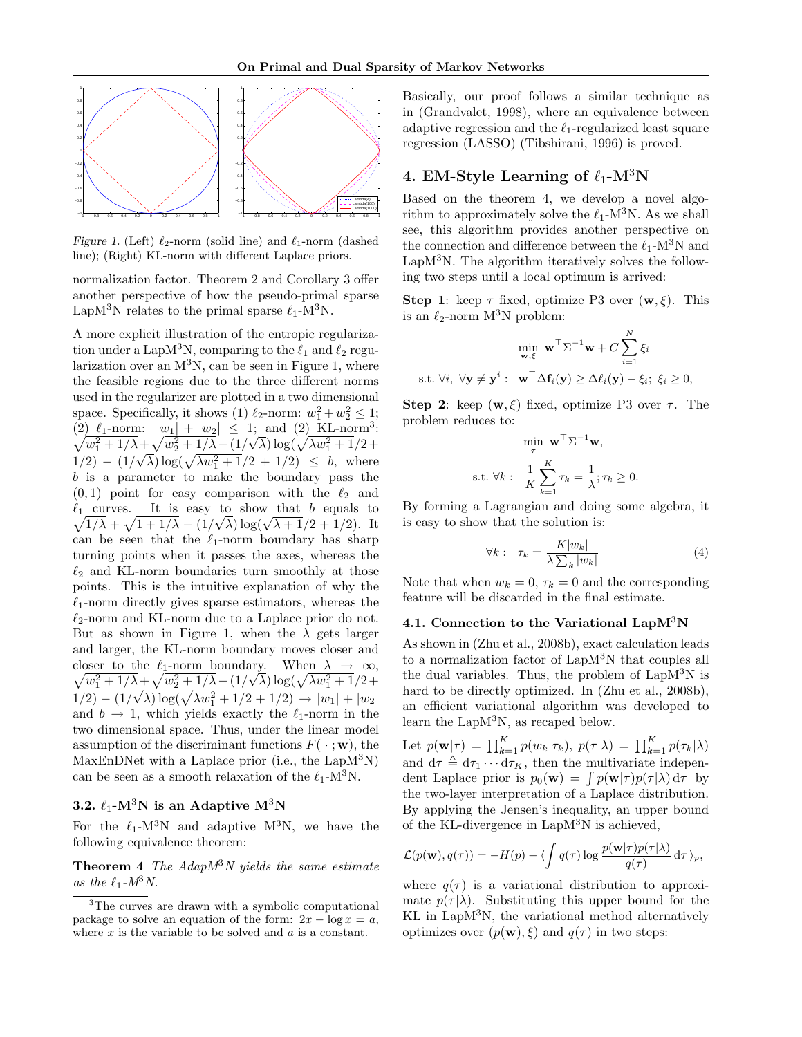

Figure 1. (Left)  $\ell_2$ -norm (solid line) and  $\ell_1$ -norm (dashed line); (Right) KL-norm with different Laplace priors.

normalization factor. Theorem 2 and Corollary 3 offer another perspective of how the pseudo-primal sparse LapM<sup>3</sup>N relates to the primal sparse  $\ell_1$ -M<sup>3</sup>N.

A more explicit illustration of the entropic regularization under a LapM<sup>3</sup>N, comparing to the  $\ell_1$  and  $\ell_2$  regularization over an  $M^3N$ , can be seen in Figure 1, where the feasible regions due to the three different norms used in the regularizer are plotted in a two dimensional space. Specifically, it shows (1)  $\ell_2$ -norm:  $w_1^2 + w_2^2 \le 1$ ; (2)  $\ell_1$ -norm:  $|w_1| + |w_2| \le 1$ ; and (2) KL-norm<sup>3</sup>:<br>  $\sqrt{w_1^2 + 1/\lambda} + \sqrt{w_2^2 + 1/\lambda} - (1/\sqrt{\lambda}) \log(\sqrt{\lambda w_1^2 + 1}/2 + \lambda)$ n:  $|w_1| + |w_2| \leq 1$ ; and (2) KL-norm<sup>3</sup>:<br>  $\sqrt{w_2^2 + 1/\lambda - (1/\sqrt{\lambda}) \log(\sqrt{\lambda w_1^2 + 1/2 + \lambda})}$  $1/2$  –  $(1/\sqrt{\lambda}) \log(\sqrt{\lambda w_1^2 + 1}/2 + 1/2) \leq b$ , where b is a parameter to make the boundary pass the  $(0, 1)$  point for easy comparison with the  $\ell_2$  and  $\sqrt{1/\lambda} + \sqrt{1+1/\lambda} - (1/\sqrt{\lambda}) \log(\sqrt{\lambda+1}/2 + 1/2)$ . It  $\ell_1$  curves. It is easy to show that b equals to can be seen that the  $\ell_1$ -norm boundary has sharp turning points when it passes the axes, whereas the  $\ell_2$  and KL-norm boundaries turn smoothly at those points. This is the intuitive explanation of why the  $\ell_1$ -norm directly gives sparse estimators, whereas the  $\ell_2$ -norm and KL-norm due to a Laplace prior do not. But as shown in Figure 1, when the  $\lambda$  gets larger and larger, the KL-norm boundary moves closer and closer to the  $\ell_1$ -norm boundary. When  $\lambda \to \infty$ ,  $\sqrt{w_1^2 + 1/\lambda} + \sqrt{w_2^2 + 1/\lambda} - (1/\sqrt{\lambda}) \log(\sqrt{\lambda w_1^2 + 1}/2 +$  $1/2 - (1/\sqrt{\lambda}) \log(\sqrt{\lambda w_1^2 + 1}/2 + 1/2) \rightarrow |w_1| + |w_2|$ and  $b \rightarrow 1$ , which yields exactly the  $\ell_1$ -norm in the two dimensional space. Thus, under the linear model assumption of the discriminant functions  $F(\cdot; \mathbf{w})$ , the MaxEnDNet with a Laplace prior (i.e., the  $\text{LapM}^3\text{N}$ ) can be seen as a smooth relaxation of the  $\ell_1$ -M<sup>3</sup>N.

### 3.2.  $\ell_1$ -M<sup>3</sup>N is an Adaptive M<sup>3</sup>N

For the  $\ell_1$ -M<sup>3</sup>N and adaptive M<sup>3</sup>N, we have the following equivalence theorem:

**Theorem 4** The  $AdapM<sup>3</sup>N$  yields the same estimate as the  $\ell_1$ - $M^3N$ .

Basically, our proof follows a similar technique as in (Grandvalet, 1998), where an equivalence between adaptive regression and the  $\ell_1$ -regularized least square regression (LASSO) (Tibshirani, 1996) is proved.

## 4. EM-Style Learning of  $\ell_1$ -M<sup>3</sup>N

Based on the theorem 4, we develop a novel algorithm to approximately solve the  $\ell_1$ -M<sup>3</sup>N. As we shall see, this algorithm provides another perspective on the connection and difference between the  $\ell_1$ -M<sup>3</sup>N and LapM<sup>3</sup>N. The algorithm iteratively solves the following two steps until a local optimum is arrived:

**Step 1:** keep  $\tau$  fixed, optimize P3 over  $(\mathbf{w}, \xi)$ . This is an  $\ell_2$ -norm M<sup>3</sup>N problem:

$$
\min_{\mathbf{w}, \xi} \mathbf{w}^{\top} \Sigma^{-1} \mathbf{w} + C \sum_{i=1}^{N} \xi_i
$$
  
s.t.  $\forall i, \forall \mathbf{y} \neq \mathbf{y}^i : \mathbf{w}^{\top} \Delta \mathbf{f}_i(\mathbf{y}) \geq \Delta \ell_i(\mathbf{y}) - \xi_i; \ \xi_i \geq 0,$ 

Step 2: keep  $(\mathbf{w}, \xi)$  fixed, optimize P3 over  $\tau$ . The problem reduces to:

$$
\min_{\tau} \mathbf{w}^{\top} \Sigma^{-1} \mathbf{w},
$$
  
s.t.  $\forall k: \quad \frac{1}{K} \sum_{k=1}^{K} \tau_k = \frac{1}{\lambda}; \tau_k \ge 0.$ 

By forming a Lagrangian and doing some algebra, it is easy to show that the solution is:

$$
\forall k: \quad \tau_k = \frac{K|w_k|}{\lambda \sum_k |w_k|} \tag{4}
$$

Note that when  $w_k = 0$ ,  $\tau_k = 0$  and the corresponding feature will be discarded in the final estimate.

#### 4.1. Connection to the Variational Lap $M^3N$

As shown in (Zhu et al., 2008b), exact calculation leads to a normalization factor of LapM<sup>3</sup>N that couples all the dual variables. Thus, the problem of  $LapM<sup>3</sup>N$  is hard to be directly optimized. In (Zhu et al., 2008b), an efficient variational algorithm was developed to learn the LapM<sup>3</sup>N, as recaped below.

Let  $p(\mathbf{w}|\tau) = \prod_{k=1}^{K} p(w_k|\tau_k)$ ,  $p(\tau|\lambda) = \prod_{k=1}^{K} p(\tau_k|\lambda)$ and  $d\tau \triangleq d\tau_1 \cdots d\tau_K$ , then the multivariate independent Laplace prior is  $p_0(\mathbf{w}) = \int p(\mathbf{w}|\tau)p(\tau|\lambda) d\tau$  by the two-layer interpretation of a Laplace distribution. By applying the Jensen's inequality, an upper bound of the KL-divergence in LapM<sup>3</sup>N is achieved,

$$
\mathcal{L}(p(\mathbf{w}), q(\tau)) = -H(p) - \langle \int q(\tau) \log \frac{p(\mathbf{w}|\tau)p(\tau|\lambda)}{q(\tau)} d\tau \rangle_p,
$$

where  $q(\tau)$  is a variational distribution to approximate  $p(\tau|\lambda)$ . Substituting this upper bound for the KL in LapM<sup>3</sup>N, the variational method alternatively optimizes over  $(p(\mathbf{w}), \xi)$  and  $q(\tau)$  in two steps:

<sup>&</sup>lt;sup>3</sup>The curves are drawn with a symbolic computational package to solve an equation of the form:  $2x - \log x = a$ , where  $x$  is the variable to be solved and  $a$  is a constant.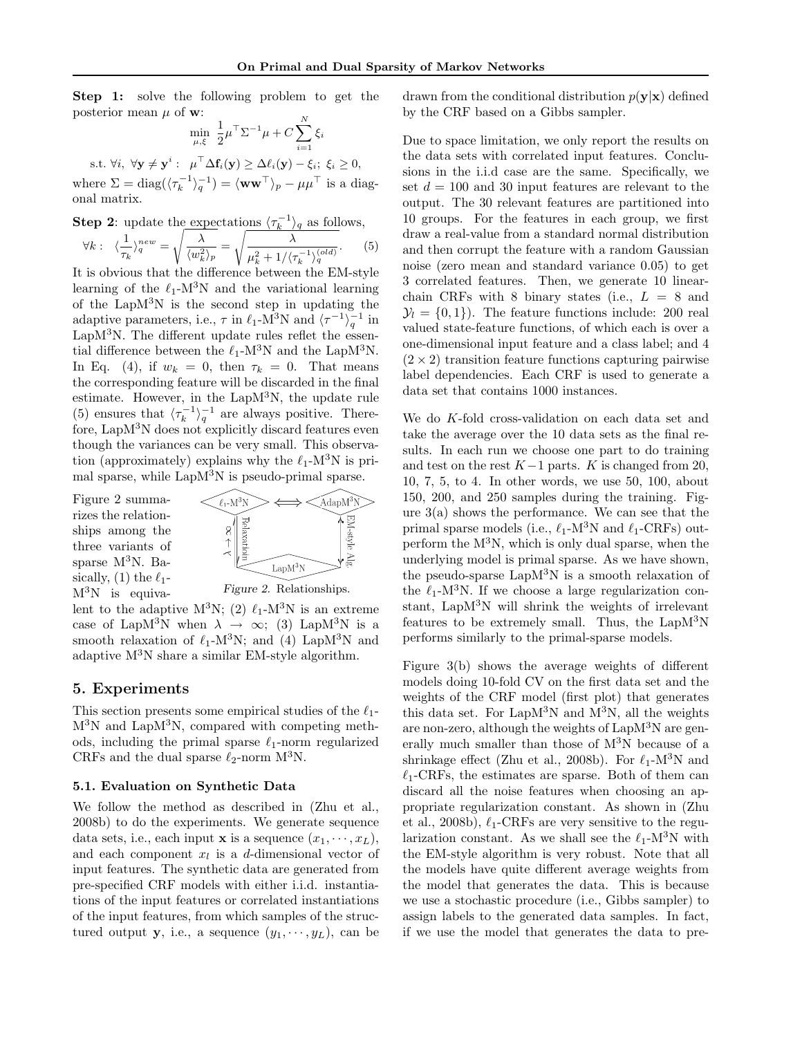Step 1: solve the following problem to get the posterior mean  $\mu$  of **w**:

$$
\min_{\mu,\xi} \frac{1}{2} \mu^{\top} \Sigma^{-1} \mu + C \sum_{i=1}^{N} \xi_i
$$

s.t.  $\forall i, \ \forall \mathbf{y} \neq \mathbf{y}^i : \ \mu^\top \Delta \mathbf{f}_i(\mathbf{y}) \geq \Delta \ell_i(\mathbf{y}) - \xi_i; \ \xi_i \geq 0,$ 

where  $\Sigma = \text{diag}(\langle \tau_k^{-1} \rangle_q^{-1}) = \langle \mathbf{w} \mathbf{w}^\top \rangle_p - \mu \mu^\top$  is a diagonal matrix.

**Step 2:** update the expectations 
$$
\langle \tau_k^{-1} \rangle_q
$$
 as follows,  

$$
\forall k: \ \langle \frac{1}{\tau_k} \rangle_q^{new} = \sqrt{\frac{\lambda}{\langle w_k^2 \rangle_p}} = \sqrt{\frac{\lambda}{\mu_k^2 + 1/\langle \tau_k^{-1} \rangle_q^{(old)}}}. \tag{5}
$$

It is obvious that the difference between the EM-style learning of the  $\ell_1$ -M<sup>3</sup>N and the variational learning of the Lap $M<sup>3</sup>N$  is the second step in updating the adaptive parameters, i.e.,  $\tau$  in  $\ell_1$ -M<sup>3</sup>N and  $\langle \tau^{-1} \rangle_q^{-1}$  in  $LapM<sup>3</sup>N$ . The different update rules reflet the essential difference between the  $\ell_1$ -M<sup>3</sup>N and the LapM<sup>3</sup>N. In Eq. (4), if  $w_k = 0$ , then  $\tau_k = 0$ . That means the corresponding feature will be discarded in the final estimate. However, in the LapM<sup>3</sup>N, the update rule (5) ensures that  $\langle \tau_k^{-1} \rangle_q^{-1}$  are always positive. Therefore, LapM<sup>3</sup>N does not explicitly discard features even though the variances can be very small. This observation (approximately) explains why the  $\ell_1$ -M<sup>3</sup>N is primal sparse, while  $\text{LapM}^3$ N is pseudo-primal sparse.

Figure 2 summarizes the relationships among the three variants of sparse M<sup>3</sup>N. Basically, (1) the  $\ell_1$ - $M^{3}N$  is equiva-



Figure 2. Relationships.

lent to the adaptive  $M^3N$ ; (2)  $\ell_1$ -M<sup>3</sup>N is an extreme case of LapM<sup>3</sup>N when  $\lambda \to \infty$ ; (3) LapM<sup>3</sup>N is a smooth relaxation of  $\ell_1$ -M<sup>3</sup>N; and (4) LapM<sup>3</sup>N and adaptive  $M^3N$  share a similar EM-style algorithm.

### 5. Experiments

This section presents some empirical studies of the  $\ell_1$ - $M<sup>3</sup>N$  and Lap $M<sup>3</sup>N$ , compared with competing methods, including the primal sparse  $\ell_1$ -norm regularized CRFs and the dual sparse  $\ell_2$ -norm M<sup>3</sup>N.

### 5.1. Evaluation on Synthetic Data

We follow the method as described in (Zhu et al., 2008b) to do the experiments. We generate sequence data sets, i.e., each input **x** is a sequence  $(x_1, \dots, x_L)$ , and each component  $x_l$  is a d-dimensional vector of input features. The synthetic data are generated from pre-specified CRF models with either i.i.d. instantiations of the input features or correlated instantiations of the input features, from which samples of the structured output y, i.e., a sequence  $(y_1, \dots, y_L)$ , can be drawn from the conditional distribution  $p(\mathbf{y}|\mathbf{x})$  defined by the CRF based on a Gibbs sampler.

Due to space limitation, we only report the results on the data sets with correlated input features. Conclusions in the i.i.d case are the same. Specifically, we set  $d = 100$  and 30 input features are relevant to the output. The 30 relevant features are partitioned into 10 groups. For the features in each group, we first draw a real-value from a standard normal distribution and then corrupt the feature with a random Gaussian noise (zero mean and standard variance 0.05) to get 3 correlated features. Then, we generate 10 linearchain CRFs with 8 binary states (i.e.,  $L = 8$  and  $\mathcal{Y}_l = \{0, 1\}$ . The feature functions include: 200 real valued state-feature functions, of which each is over a one-dimensional input feature and a class label; and 4  $(2 \times 2)$  transition feature functions capturing pairwise label dependencies. Each CRF is used to generate a data set that contains 1000 instances.

We do K-fold cross-validation on each data set and take the average over the 10 data sets as the final results. In each run we choose one part to do training and test on the rest  $K-1$  parts. K is changed from 20, 10, 7, 5, to 4. In other words, we use 50, 100, about 150, 200, and 250 samples during the training. Figure  $3(a)$  shows the performance. We can see that the primal sparse models (i.e.,  $\ell_1$ -M<sup>3</sup>N and  $\ell_1$ -CRFs) outperform the  $M<sup>3</sup>N$ , which is only dual sparse, when the underlying model is primal sparse. As we have shown, the pseudo-sparse  $LapM<sup>3</sup>N$  is a smooth relaxation of the  $\ell_1$ -M<sup>3</sup>N. If we choose a large regularization constant, LapM<sup>3</sup>N will shrink the weights of irrelevant features to be extremely small. Thus, the  $LapM<sup>3</sup>N$ performs similarly to the primal-sparse models.

Figure 3(b) shows the average weights of different models doing 10-fold CV on the first data set and the weights of the CRF model (first plot) that generates this data set. For Lap $M^3N$  and  $M^3N$ , all the weights are non-zero, although the weights of LapM<sup>3</sup>N are generally much smaller than those of M<sup>3</sup>N because of a shrinkage effect (Zhu et al., 2008b). For  $\ell_1$ -M<sup>3</sup>N and  $\ell_1$ -CRFs, the estimates are sparse. Both of them can discard all the noise features when choosing an appropriate regularization constant. As shown in (Zhu et al., 2008b),  $\ell_1$ -CRFs are very sensitive to the regularization constant. As we shall see the  $\ell_1$ -M<sup>3</sup>N with the EM-style algorithm is very robust. Note that all the models have quite different average weights from the model that generates the data. This is because we use a stochastic procedure (i.e., Gibbs sampler) to assign labels to the generated data samples. In fact, if we use the model that generates the data to pre-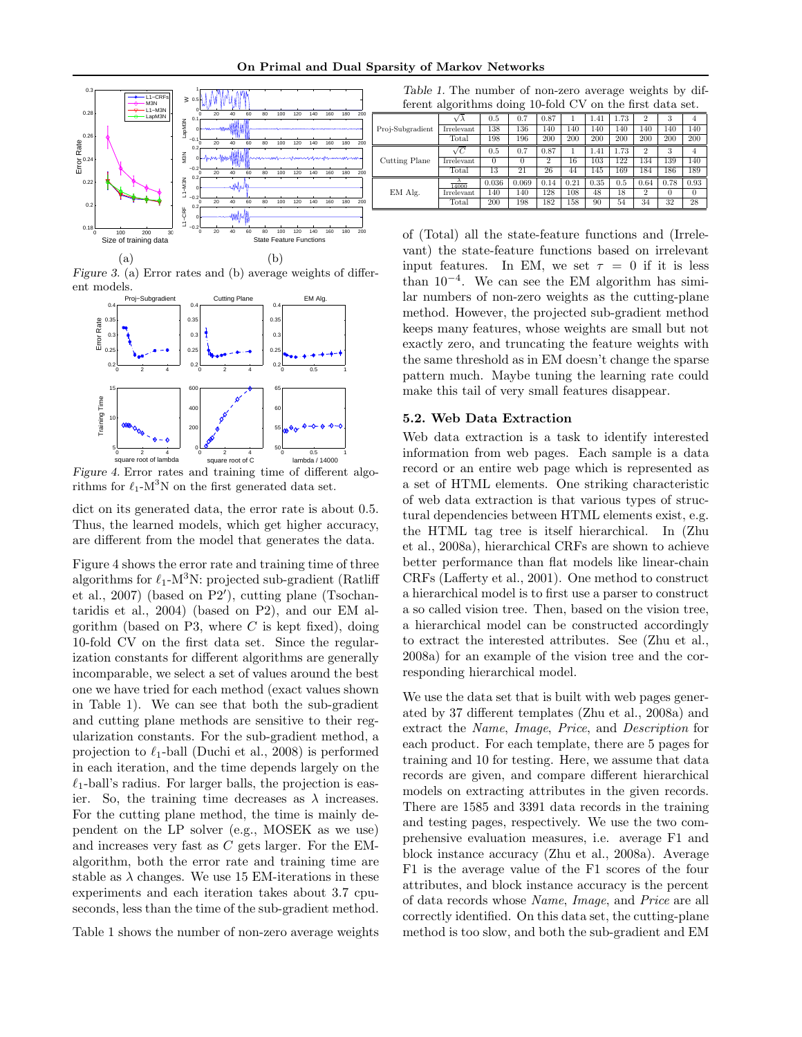

Figure 3. (a) Error rates and (b) average weights of different models.



Figure 4. Error rates and training time of different algorithms for  $\ell_1$ -M<sup>3</sup>N on the first generated data set.

dict on its generated data, the error rate is about 0.5. Thus, the learned models, which get higher accuracy, are different from the model that generates the data.

Figure 4 shows the error rate and training time of three algorithms for  $\ell_1$ -M<sup>3</sup>N: projected sub-gradient (Ratliff et al.,  $2007$ ) (based on P2'), cutting plane (Tsochantaridis et al., 2004) (based on P2), and our EM algorithm (based on P3, where  $C$  is kept fixed), doing 10-fold CV on the first data set. Since the regularization constants for different algorithms are generally incomparable, we select a set of values around the best one we have tried for each method (exact values shown in Table 1). We can see that both the sub-gradient and cutting plane methods are sensitive to their regularization constants. For the sub-gradient method, a projection to  $\ell_1$ -ball (Duchi et al., 2008) is performed in each iteration, and the time depends largely on the  $\ell_1$ -ball's radius. For larger balls, the projection is easier. So, the training time decreases as  $\lambda$  increases. For the cutting plane method, the time is mainly dependent on the LP solver (e.g., MOSEK as we use) and increases very fast as C gets larger. For the EMalgorithm, both the error rate and training time are stable as  $\lambda$  changes. We use 15 EM-iterations in these experiments and each iteration takes about 3.7 cpuseconds, less than the time of the sub-gradient method.

Table 1 shows the number of non-zero average weights

Table 1. The number of non-zero average weights by different algorithms doing 10-fold CV on the first data set.

| Proj-Subgradient | Vλ         | 0.5   | 0.7   | 0.87           |      | 1.41 | 1.73 | $\overline{2}$ | 3    | 4    |
|------------------|------------|-------|-------|----------------|------|------|------|----------------|------|------|
|                  | Irrelevant | 138   | 136   | 140            | 140  | 140  | 140  | 140            | 140  | 140  |
|                  | Total      | 198   | 196   | 200            | 200  | 200  | 200  | 200            | 200  | 200  |
| Cutting Plane    | $\sqrt{C}$ | 0.5   | 0.7   | 0.87           |      | 1.41 | 1.73 | $\overline{2}$ | 3    | 4    |
|                  | Irrelevant |       | 0     | $\overline{2}$ | 16   | 103  | 122  | 134            | 139  | 140  |
|                  | Total      | 13    | 21    | 26             | 44   | 145  | 169  | 184            | 186  | 189  |
| EM Alg.          | 14000      | 0.036 | 0.069 | 0.14           | 0.21 | 0.35 | 0.5  | 0.64           | 0.78 | 0.93 |
|                  | Irrelevant | 140   | 140   | 128            | 108  | 48   | 18   | $\overline{2}$ | 0    | 0    |
|                  | Total      | 200   | 198   | 182            | 158  | 90   | 54   | 34             | 32   | 28   |
|                  |            |       |       |                |      |      |      |                |      |      |

of (Total) all the state-feature functions and (Irrelevant) the state-feature functions based on irrelevant input features. In EM, we set  $\tau = 0$  if it is less than  $10^{-4}$ . We can see the EM algorithm has similar numbers of non-zero weights as the cutting-plane method. However, the projected sub-gradient method keeps many features, whose weights are small but not exactly zero, and truncating the feature weights with the same threshold as in EM doesn't change the sparse pattern much. Maybe tuning the learning rate could make this tail of very small features disappear.

#### 5.2. Web Data Extraction

Web data extraction is a task to identify interested information from web pages. Each sample is a data record or an entire web page which is represented as a set of HTML elements. One striking characteristic of web data extraction is that various types of structural dependencies between HTML elements exist, e.g. the HTML tag tree is itself hierarchical. In (Zhu et al., 2008a), hierarchical CRFs are shown to achieve better performance than flat models like linear-chain CRFs (Lafferty et al., 2001). One method to construct a hierarchical model is to first use a parser to construct a so called vision tree. Then, based on the vision tree, a hierarchical model can be constructed accordingly to extract the interested attributes. See (Zhu et al., 2008a) for an example of the vision tree and the corresponding hierarchical model.

We use the data set that is built with web pages generated by 37 different templates (Zhu et al., 2008a) and extract the Name, Image, Price, and Description for each product. For each template, there are 5 pages for training and 10 for testing. Here, we assume that data records are given, and compare different hierarchical models on extracting attributes in the given records. There are 1585 and 3391 data records in the training and testing pages, respectively. We use the two comprehensive evaluation measures, i.e. average F1 and block instance accuracy (Zhu et al., 2008a). Average F1 is the average value of the F1 scores of the four attributes, and block instance accuracy is the percent of data records whose Name, Image, and Price are all correctly identified. On this data set, the cutting-plane method is too slow, and both the sub-gradient and EM